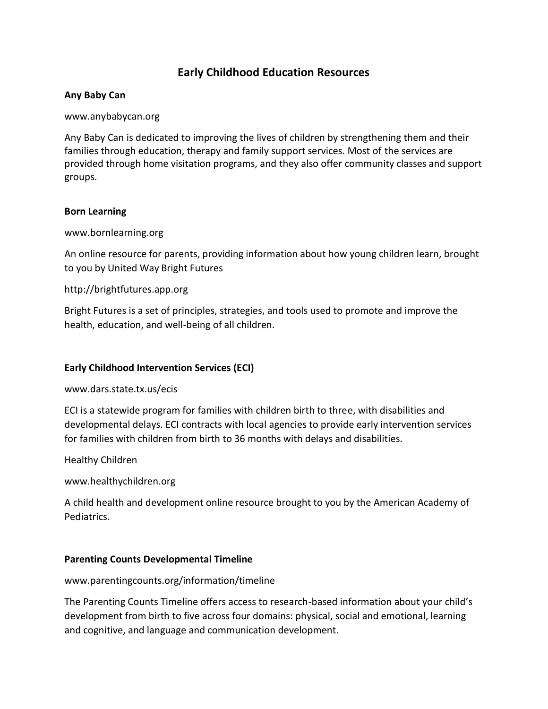# **Early Childhood Education Resources**

## **Any Baby Can**

www.anybabycan.org

Any Baby Can is dedicated to improving the lives of children by strengthening them and their families through education, therapy and family support services. Most of the services are provided through home visitation programs, and they also offer community classes and support groups.

## **Born Learning**

www.bornlearning.org

An online resource for parents, providing information about how young children learn, brought to you by United Way Bright Futures

# http://brightfutures.app.org

Bright Futures is a set of principles, strategies, and tools used to promote and improve the health, education, and well-being of all children.

## **Early Childhood Intervention Services (ECI)**

www.dars.state.tx.us/ecis

ECI is a statewide program for families with children birth to three, with disabilities and developmental delays. ECI contracts with local agencies to provide early intervention services for families with children from birth to 36 months with delays and disabilities.

Healthy Children

www.healthychildren.org

A child health and development online resource brought to you by the American Academy of Pediatrics.

# **Parenting Counts Developmental Timeline**

www.parentingcounts.org/information/timeline

The Parenting Counts Timeline offers access to research-based information about your child's development from birth to five across four domains: physical, social and emotional, learning and cognitive, and language and communication development.